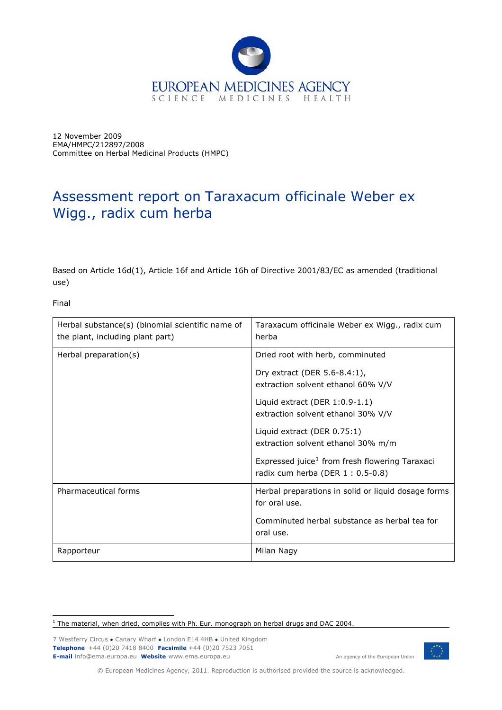

12 November 2009 EMA/HMPC/212897/2008 Committee on Herbal Medicinal Products (HMPC)

# Assessment report on *Taraxacum officinale* Weber ex Wigg., radix cum herba

Based on Article 16d(1), Article 16f and Article 16h of Directive 2001/83/EC as amended (traditional use)

Final

| Herbal substance(s) (binomial scientific name of<br>the plant, including plant part) | Taraxacum officinale Weber ex Wigg., radix cum<br>herba                                           |  |  |
|--------------------------------------------------------------------------------------|---------------------------------------------------------------------------------------------------|--|--|
| Herbal preparation(s)                                                                | Dried root with herb, comminuted                                                                  |  |  |
|                                                                                      | Dry extract (DER 5.6-8.4:1),<br>extraction solvent ethanol 60% V/V                                |  |  |
|                                                                                      | Liquid extract (DER 1:0.9-1.1)<br>extraction solvent ethanol 30% V/V                              |  |  |
|                                                                                      | Liquid extract (DER 0.75:1)<br>extraction solvent ethanol 30% m/m                                 |  |  |
|                                                                                      | Expressed juice <sup>1</sup> from fresh flowering Taraxaci<br>radix cum herba (DER $1: 0.5-0.8$ ) |  |  |
| Pharmaceutical forms                                                                 | Herbal preparations in solid or liquid dosage forms<br>for oral use.                              |  |  |
|                                                                                      | Comminuted herbal substance as herbal tea for<br>oral use.                                        |  |  |
| Rapporteur                                                                           | Milan Nagy                                                                                        |  |  |

7 Westferry Circus **●** Canary Wharf **●** London E14 4HB **●** United Kingdom **Telephone** +44 (0)20 7418 8400 **Facsimile** +44 (0)20 7523 7051 **E-mail** info@ema.europa.eu **Website** www.ema.europa.eu An agency of the European Union



© European Medicines Agency, 2011. Reproduction is authorised provided the source is acknowledged.

<span id="page-0-0"></span> 1 The material, when dried, complies with Ph. Eur. monograph on herbal drugs and DAC 2004.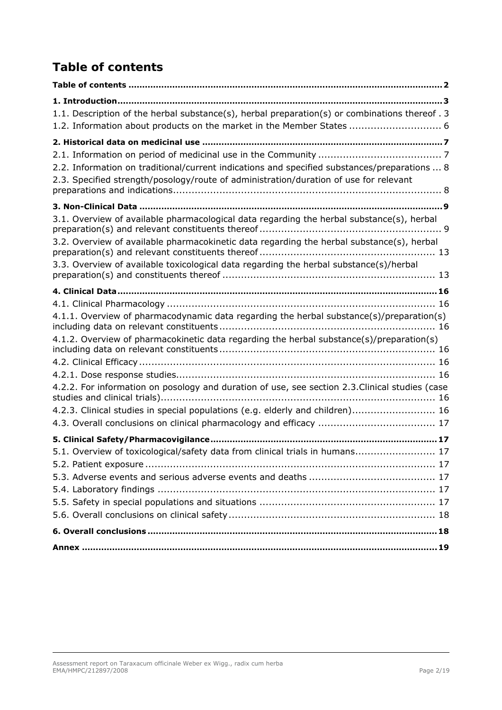# <span id="page-1-0"></span>*Table of contents*

| 1.1. Description of the herbal substance(s), herbal preparation(s) or combinations thereof . 3<br>1.2. Information about products on the market in the Member States  6                                                                                                                                                                                                  |
|--------------------------------------------------------------------------------------------------------------------------------------------------------------------------------------------------------------------------------------------------------------------------------------------------------------------------------------------------------------------------|
| 2.2. Information on traditional/current indications and specified substances/preparations  8<br>2.3. Specified strength/posology/route of administration/duration of use for relevant                                                                                                                                                                                    |
| 3.1. Overview of available pharmacological data regarding the herbal substance(s), herbal<br>3.2. Overview of available pharmacokinetic data regarding the herbal substance(s), herbal                                                                                                                                                                                   |
| 3.3. Overview of available toxicological data regarding the herbal substance(s)/herbal                                                                                                                                                                                                                                                                                   |
| 4.1.1. Overview of pharmacodynamic data regarding the herbal substance(s)/preparation(s)<br>4.1.2. Overview of pharmacokinetic data regarding the herbal substance(s)/preparation(s)<br>4.2.2. For information on posology and duration of use, see section 2.3. Clinical studies (case<br>4.2.3. Clinical studies in special populations (e.g. elderly and children) 16 |
| 5.1. Overview of toxicological/safety data from clinical trials in humans 17                                                                                                                                                                                                                                                                                             |
|                                                                                                                                                                                                                                                                                                                                                                          |
|                                                                                                                                                                                                                                                                                                                                                                          |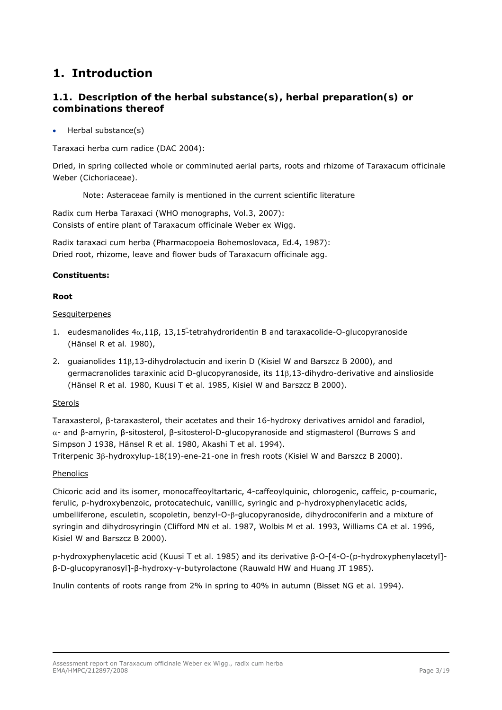# <span id="page-2-0"></span>**1. Introduction**

## <span id="page-2-1"></span>*1.1. Description of the herbal substance(s), herbal preparation(s) or combinations thereof*

Herbal substance(s)

Taraxaci herba cum radice (DAC 2004):

Dried, in spring collected whole or comminuted aerial parts, roots and rhizome of *Taraxacum officinale* Weber (Cichoriaceae).

Note: Asteraceae family is mentioned in the current scientific literature

Radix cum Herba Taraxaci (WHO monographs, Vol.3, 2007): Consists of entire plant of *Taraxacum officinale* Weber ex Wigg.

Radix taraxaci cum herba (Pharmacopoeia Bohemoslovaca, Ed.4, 1987): Dried root, rhizome, leave and flower buds of *Taraxacum officinale* agg.

### **Constituents:**

#### **Root**

#### Sesquiterpenes

- 1. eudesmanolides  $4\alpha$ , 11 $\beta$ , 13,15-tetrahydroridentin B and taraxacolide-O-glucopyranoside (Hänsel R *et al.* 1980),
- 2. guaianolides  $11\beta$ , 13-dihydrolactucin and ixerin D (Kisiel W and Barszcz B 2000), and germacranolides taraxinic acid D-glucopyranoside, its 11 $\beta$ ,13-dihydro-derivative and ainslioside (Hänsel R *et al.* 1980, Kuusi T *et al.* 1985, Kisiel W and Barszcz B 2000).

## **Sterols**

Taraxasterol, β-taraxasterol, their acetates and their 16-hydroxy derivatives arnidol and faradiol, - and β-amyrin, β-sitosterol, β-sitosterol-D-glucopyranoside and stigmasterol (Burrows S and Simpson J 1938, Hänsel R *et al.* 1980, Akashi T *et al.* 1994). Triterpenic 3ß-hydroxylup-18(19)-ene-21-one in fresh roots (Kisiel W and Barszcz B 2000).

### **Phenolics**

Chicoric acid and its isomer, monocaffeoyltartaric, 4-caffeoylquinic, chlorogenic, caffeic, p-coumaric, ferulic, p-hydroxybenzoic, protocatechuic, vanillic, syringic and p-hydroxyphenylacetic acids, umbelliferone, esculetin, scopoletin, benzyl-O-B-glucopyranoside, dihydroconiferin and a mixture of syringin and dihydrosyringin (Clifford MN *et al.* 1987, Wolbis M *et al.* 1993, Williams CA *et al.* 1996, Kisiel W and Barszcz B 2000).

*p*-hydroxyphenylacetic acid (Kuusi T *et al.* 1985) and its derivative β-O-[4-O-(*p*-hydroxyphenylacetyl] β-*D*-glucopyranosyl]-β-hydroxy-γ-butyrolactone (Rauwald HW and Huang JT 1985).

Inulin contents of roots range from 2% in spring to 40% in autumn (Bisset NG *et al.* 1994).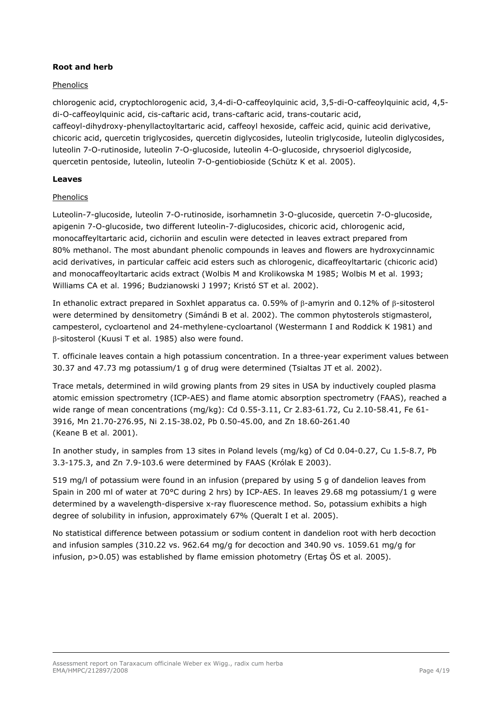### **Root and herb**

### Phenolics

chlorogenic acid, cryptochlorogenic acid, 3,4-di-O-caffeoylquinic acid, 3,5-di-O-caffeoylquinic acid, 4,5 di-O-caffeoylquinic acid, cis-caftaric acid, trans-caftaric acid, trans-coutaric acid, caffeoyl-dihydroxy-phenyllactoyltartaric acid, caffeoyl hexoside, caffeic acid, quinic acid derivative, chicoric acid, quercetin triglycosides, quercetin diglycosides, luteolin triglycoside, luteolin diglycosides, luteolin 7-O-rutinoside, luteolin 7-O-glucoside, luteolin 4-O-glucoside, chrysoeriol diglycoside, quercetin pentoside, luteolin, luteolin 7-O-gentiobioside (Schütz K *et al.* 2005).

### **Leaves**

## Phenolics

Luteolin-7-glucoside, luteolin 7-O-rutinoside, isorhamnetin 3-O-glucoside, quercetin 7-O-glucoside, apigenin 7-O-glucoside, two different luteolin-7-diglucosides, chicoric acid, chlorogenic acid, monocaffeyltartaric acid, cichoriin and esculin were detected in leaves extract prepared from 80% methanol. The most abundant phenolic compounds in leaves and flowers are hydroxycinnamic acid derivatives, in particular caffeic acid esters such as chlorogenic, dicaffeoyltartaric (chicoric acid) and monocaffeoyltartaric acids extract (Wolbis M and Krolikowska M 1985; Wolbis M *et al.* 1993; Williams CA *et al.* 1996; Budzianowski J 1997; Kristó ST *et al.* 2002).

In ethanolic extract prepared in Soxhlet apparatus ca. 0.59% of  $\beta$ -amyrin and 0.12% of  $\beta$ -sitosterol were determined by densitometry (Simándi B *et al.* 2002). The common phytosterols stigmasterol, campesterol, cycloartenol and 24-methylene-cycloartanol (Westermann I and Roddick K 1981) and -sitosterol (Kuusi T *et al.* 1985) also were found.

*T. officinale* leaves contain a high potassium concentration. In a three-year experiment values between 30.37 and 47.73 mg potassium/1 g of drug were determined (Tsialtas JT *et al.* 2002).

Trace metals, determined in wild growing plants from 29 sites in USA by inductively coupled plasma atomic emission spectrometry (ICP-AES) and flame atomic absorption spectrometry (FAAS), reached a wide range of mean concentrations (mg/kg): Cd 0.55-3.11, Cr 2.83-61.72, Cu 2.10-58.41, Fe 61- 3916, Mn 21.70-276.95, Ni 2.15-38.02, Pb 0.50-45.00, and Zn 18.60-261.40 (Keane B *et al.* 2001).

In another study, in samples from 13 sites in Poland levels (mg/kg) of Cd 0.04-0.27, Cu 1.5-8.7, Pb 3.3-175.3, and Zn 7.9-103.6 were determined by FAAS (Królak E 2003).

519 mg/l of potassium were found in an infusion (prepared by using 5 g of dandelion leaves from Spain in 200 ml of water at 70°C during 2 hrs) by ICP-AES. In leaves 29.68 mg potassium/1 g were determined by a wavelength-dispersive x-ray fluorescence method. So, potassium exhibits a high degree of solubility in infusion, approximately 67% (Queralt I *et al.* 2005).

No statistical difference between potassium or sodium content in dandelion root with herb decoction and infusion samples (310.22 vs. 962.64 mg/g for decoction and 340.90 vs. 1059.61 mg/g for infusion, p>0.05) was established by flame emission photometry (Ertaş ÖS *et al.* 2005).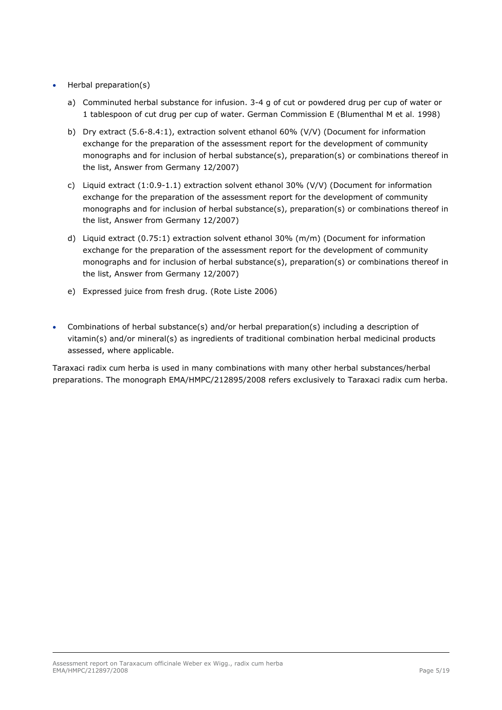- Herbal preparation(s)
	- a) Comminuted herbal substance for infusion. 3-4 g of cut or powdered drug per cup of water or 1 tablespoon of cut drug per cup of water. German Commission E (Blumenthal M *et al.* 1998)
	- b) Dry extract (5.6-8.4:1), extraction solvent ethanol 60% (V/V) (Document for information exchange for the preparation of the assessment report for the development of community monographs and for inclusion of herbal substance(s), preparation(s) or combinations thereof in the list, Answer from Germany 12/2007)
	- c) Liquid extract (1:0.9-1.1) extraction solvent ethanol 30% (V/V) (Document for information exchange for the preparation of the assessment report for the development of community monographs and for inclusion of herbal substance(s), preparation(s) or combinations thereof in the list, Answer from Germany 12/2007)
	- d) Liquid extract (0.75:1) extraction solvent ethanol 30% (m/m) (Document for information exchange for the preparation of the assessment report for the development of community monographs and for inclusion of herbal substance(s), preparation(s) or combinations thereof in the list, Answer from Germany 12/2007)
	- e) Expressed juice from fresh drug. (Rote Liste 2006)
- Combinations of herbal substance(s) and/or herbal preparation(s) including a description of vitamin(s) and/or mineral(s) as ingredients of traditional combination herbal medicinal products assessed, where applicable.

Taraxaci radix cum herba is used in many combinations with many other herbal substances/herbal preparations. The monograph EMA/HMPC/212895/2008 refers exclusively to Taraxaci radix cum herba.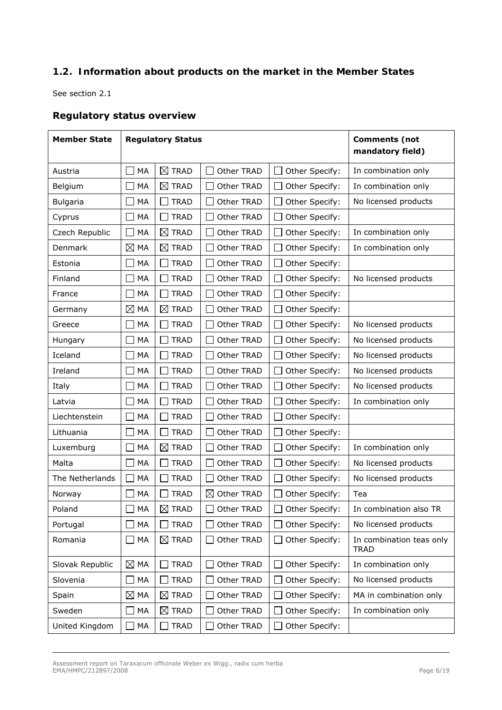## <span id="page-5-0"></span>*1.2. Information about products on the market in the Member States*

See section 2.1

## **Regulatory status overview**

| <b>Member State</b> | <b>Regulatory Status</b> |                  |                 | <b>Comments (not</b><br>mandatory field) |                                         |
|---------------------|--------------------------|------------------|-----------------|------------------------------------------|-----------------------------------------|
| Austria             | MA                       | $\boxtimes$ TRAD | Other TRAD      | Other Specify:                           | In combination only                     |
| Belgium             | МA                       | $\boxtimes$ TRAD | Other TRAD      | Other Specify:                           | In combination only                     |
| <b>Bulgaria</b>     | MA                       | <b>TRAD</b>      | Other TRAD      | Other Specify:                           | No licensed products                    |
| Cyprus              | MA                       | <b>TRAD</b>      | Other TRAD      | Other Specify:                           |                                         |
| Czech Republic      | MA                       | $\boxtimes$ TRAD | Other TRAD      | Other Specify:                           | In combination only                     |
| Denmark             | ⊠<br>MA                  | $\boxtimes$ TRAD | Other TRAD      | Other Specify:                           | In combination only                     |
| Estonia             | MA                       | <b>TRAD</b>      | Other TRAD      | Other Specify:                           |                                         |
| Finland             | МA                       | <b>TRAD</b>      | Other TRAD      | Other Specify:                           | No licensed products                    |
| France              | MA                       | <b>TRAD</b>      | Other TRAD      | Other Specify:                           |                                         |
| Germany             | $\boxtimes$ MA           | $\boxtimes$ TRAD | Other TRAD      | Other Specify:                           |                                         |
| Greece              | MA                       | <b>TRAD</b>      | Other TRAD      | Other Specify:                           | No licensed products                    |
| Hungary             | MA                       | <b>TRAD</b>      | Other TRAD      | Other Specify:                           | No licensed products                    |
| Iceland             | МA                       | <b>TRAD</b>      | Other TRAD      | Other Specify:                           | No licensed products                    |
| Ireland             | MA                       | <b>TRAD</b>      | Other TRAD      | Other Specify:                           | No licensed products                    |
| Italy               | MA                       | <b>TRAD</b>      | Other TRAD      | Other Specify:                           | No licensed products                    |
| Latvia              | MA                       | <b>TRAD</b>      | Other TRAD      | Other Specify:                           | In combination only                     |
| Liechtenstein       | MA                       | <b>TRAD</b>      | Other TRAD      | Other Specify:                           |                                         |
| Lithuania           | MA                       | <b>TRAD</b>      | Other TRAD      | Other Specify:                           |                                         |
| Luxemburg           | МA                       | ⊠<br><b>TRAD</b> | Other TRAD      | Other Specify:                           | In combination only                     |
| Malta               | MA                       | <b>TRAD</b>      | Other TRAD      | Other Specify:                           | No licensed products                    |
| The Netherlands     | MA                       | <b>TRAD</b>      | Other TRAD      | Other Specify:                           | No licensed products                    |
| Norway              | MA                       | <b>TRAD</b>      | Other TRAD<br>⊠ | Other Specify:                           | Tea                                     |
| Poland              | $\Box$ MA                | $\boxtimes$ TRAD | Other TRAD      | $\Box$ Other Specify:                    | In combination also TR                  |
| Portugal            | MA                       | <b>TRAD</b>      | Other TRAD      | Other Specify:                           | No licensed products                    |
| Romania             | MA<br>$\blacksquare$     | $\boxtimes$ TRAD | Other TRAD      | Other Specify:                           | In combination teas only<br><b>TRAD</b> |
| Slovak Republic     | $\boxtimes$ MA           | <b>TRAD</b>      | Other TRAD      | Other Specify:                           | In combination only                     |
| Slovenia            | MA                       | <b>TRAD</b>      | Other TRAD      | Other Specify:                           | No licensed products                    |
| Spain               | $\boxtimes$ MA           | $\boxtimes$ TRAD | Other TRAD      | Other Specify:                           | MA in combination only                  |
| Sweden              | MA                       | $\boxtimes$ TRAD | Other TRAD      | Other Specify:                           | In combination only                     |
| United Kingdom      | MA                       | <b>TRAD</b>      | Other TRAD      | Other Specify:                           |                                         |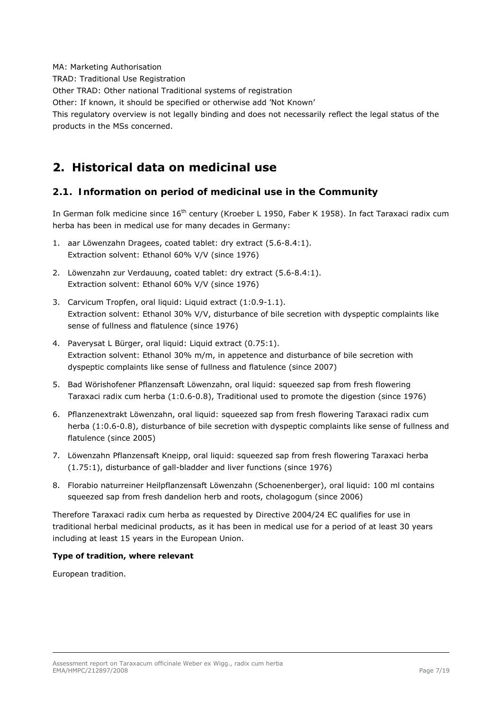MA: Marketing Authorisation

TRAD: Traditional Use Registration

Other TRAD: Other national Traditional systems of registration

Other: If known, it should be specified or otherwise add 'Not Known'

This regulatory overview is not legally binding and does not necessarily reflect the legal status of the products in the MSs concerned.

# <span id="page-6-0"></span>**2. Historical data on medicinal use**

## *2.1. Information on period of medicinal use in the Community*

<span id="page-6-1"></span>In German folk medicine since 16<sup>th</sup> century (Kroeber L 1950, Faber K 1958). In fact Taraxaci radix cum herba has been in medical use for many decades in Germany:

- 1. aar Löwenzahn Dragees, coated tablet: dry extract (5.6-8.4:1). Extraction solvent: Ethanol 60% V/V (since 1976)
- 2. Löwenzahn zur Verdauung, coated tablet: dry extract (5.6-8.4:1). Extraction solvent: Ethanol 60% V/V (since 1976)
- 3. Carvicum Tropfen, oral liquid: Liquid extract (1:0.9-1.1). Extraction solvent: Ethanol 30% V/V, disturbance of bile secretion with dyspeptic complaints like sense of fullness and flatulence (since 1976)
- 4. Paverysat L Bürger, oral liquid: Liquid extract (0.75:1). Extraction solvent: Ethanol 30% m/m, in appetence and disturbance of bile secretion with dyspeptic complaints like sense of fullness and flatulence (since 2007)
- 5. Bad Wörishofener Pflanzensaft Löwenzahn, oral liquid: squeezed sap from fresh flowering Taraxaci radix cum herba (1:0.6-0.8), Traditional used to promote the digestion (since 1976)
- 6. Pflanzenextrakt Löwenzahn, oral liquid: squeezed sap from fresh flowering Taraxaci radix cum herba (1:0.6-0.8), disturbance of bile secretion with dyspeptic complaints like sense of fullness and flatulence (since 2005)
- 7. Löwenzahn Pflanzensaft Kneipp, oral liquid: squeezed sap from fresh flowering Taraxaci herba (1.75:1), disturbance of gall-bladder and liver functions (since 1976)
- 8. Florabio naturreiner Heilpflanzensaft Löwenzahn (Schoenenberger), oral liquid: 100 ml contains squeezed sap from fresh dandelion herb and roots, cholagogum (since 2006)

Therefore Taraxaci radix cum herba as requested by Directive 2004/24 EC qualifies for use in traditional herbal medicinal products, as it has been in medical use for a period of at least 30 years including at least 15 years in the European Union.

## **Type of tradition, where relevant**

European tradition.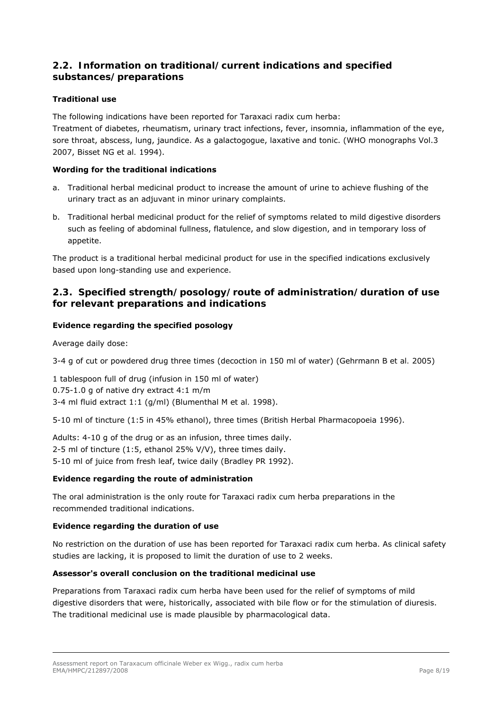## <span id="page-7-0"></span>*2.2. Information on traditional/current indications and specified substances/preparations*

### **Traditional use**

The following indications have been reported for Taraxaci radix cum herba:

Treatment of diabetes, rheumatism, urinary tract infections, fever, insomnia, inflammation of the eye, sore throat, abscess, lung, jaundice. As a galactogogue, laxative and tonic. (WHO monographs Vol.3 2007, Bisset NG *et al.* 1994).

#### **Wording for the traditional indications**

- a. Traditional herbal medicinal product to increase the amount of urine to achieve flushing of the urinary tract as an adjuvant in minor urinary complaints.
- b. Traditional herbal medicinal product for the relief of symptoms related to mild digestive disorders such as feeling of abdominal fullness, flatulence, and slow digestion, and in temporary loss of appetite.

The product is a traditional herbal medicinal product for use in the specified indications exclusively based upon long-standing use and experience.

## <span id="page-7-1"></span>*2.3. Specified strength/posology/route of administration/duration of use for relevant preparations and indications*

#### **Evidence regarding the specified posology**

Average daily dose:

3-4 g of cut or powdered drug three times (decoction in 150 ml of water) (Gehrmann B *et al.* 2005)

1 tablespoon full of drug (infusion in 150 ml of water)

0.75-1.0 g of native dry extract 4:1 m/m

3-4 ml fluid extract 1:1 (g/ml) (Blumenthal M *et al.* 1998).

5-10 ml of tincture (1:5 in 45% ethanol), three times (British Herbal Pharmacopoeia 1996).

Adults: 4-10 g of the drug or as an infusion, three times daily. 2-5 ml of tincture (1:5, ethanol 25% V/V), three times daily. 5-10 ml of juice from fresh leaf, twice daily (Bradley PR 1992).

#### **Evidence regarding the route of administration**

The oral administration is the only route for Taraxaci radix cum herba preparations in the recommended traditional indications.

#### **Evidence regarding the duration of use**

No restriction on the duration of use has been reported for Taraxaci radix cum herba. As clinical safety studies are lacking, it is proposed to limit the duration of use to 2 weeks.

#### **Assessor's overall conclusion on the traditional medicinal use**

Preparations from Taraxaci radix cum herba have been used for the relief of symptoms of mild digestive disorders that were, historically, associated with bile flow or for the stimulation of diuresis. The traditional medicinal use is made plausible by pharmacological data.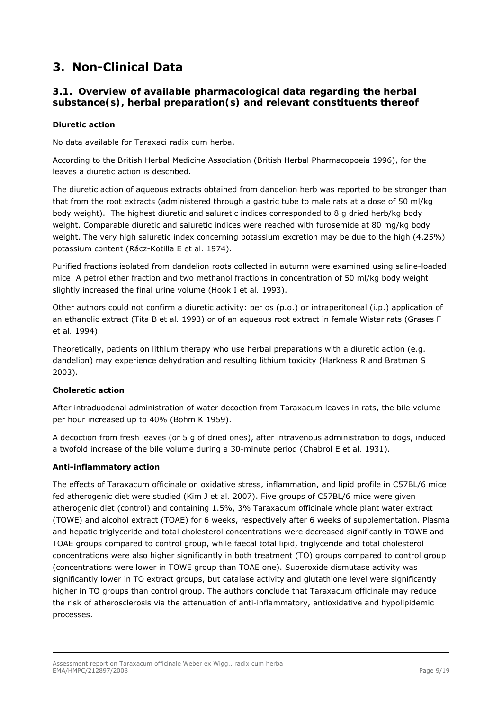# <span id="page-8-0"></span>**3. Non-Clinical Data**

## <span id="page-8-1"></span>*3.1. Overview of available pharmacological data regarding the herbal substance(s), herbal preparation(s) and relevant constituents thereof*

### **Diuretic action**

No data available for Taraxaci radix cum herba.

According to the British Herbal Medicine Association (British Herbal Pharmacopoeia 1996), for the leaves a diuretic action is described.

The diuretic action of aqueous extracts obtained from dandelion herb was reported to be stronger than that from the root extracts (administered through a gastric tube to male rats at a dose of 50 ml/kg body weight). The highest diuretic and saluretic indices corresponded to 8 g dried herb/kg body weight. Comparable diuretic and saluretic indices were reached with furosemide at 80 mg/kg body weight. The very high saluretic index concerning potassium excretion may be due to the high (4.25%) potassium content (Rácz-Kotilla E *et al.* 1974).

Purified fractions isolated from dandelion roots collected in autumn were examined using saline-loaded mice. A petrol ether fraction and two methanol fractions in concentration of 50 ml/kg body weight slightly increased the final urine volume (Hook I *et al.* 1993).

Other authors could not confirm a diuretic activity: per os (p.o.) or intraperitoneal (i.p.) application of an ethanolic extract (Tita B *et al.* 1993) or of an aqueous root extract in female Wistar rats (Grases F *et al.* 1994).

Theoretically, patients on lithium therapy who use herbal preparations with a diuretic action (e.g. dandelion) may experience dehydration and resulting lithium toxicity (Harkness R and Bratman S 2003).

### **Choleretic action**

After intraduodenal administration of water decoction from *Taraxacum* leaves in rats, the bile volume per hour increased up to 40% (Böhm K 1959).

A decoction from fresh leaves (or 5 g of dried ones), after intravenous administration to dogs, induced a twofold increase of the bile volume during a 30-minute period (Chabrol E *et al.* 1931).

### **Anti-inflammatory action**

The effects of *Taraxacum officinale* on oxidative stress, inflammation, and lipid profile in C57BL/6 mice fed atherogenic diet were studied (Kim J *et al.* 2007). Five groups of C57BL/6 mice were given atherogenic diet (control) and containing 1.5%, 3% *Taraxacum officinale* whole plant water extract (TOWE) and alcohol extract (TOAE) for 6 weeks, respectively after 6 weeks of supplementation. Plasma and hepatic triglyceride and total cholesterol concentrations were decreased significantly in TOWE and TOAE groups compared to control group, while faecal total lipid, triglyceride and total cholesterol concentrations were also higher significantly in both treatment (TO) groups compared to control group (concentrations were lower in TOWE group than TOAE one). Superoxide dismutase activity was significantly lower in TO extract groups, but catalase activity and glutathione level were significantly higher in TO groups than control group. The authors conclude that *Taraxacum officinale* may reduce the risk of atherosclerosis via the attenuation of anti-inflammatory, antioxidative and hypolipidemic processes.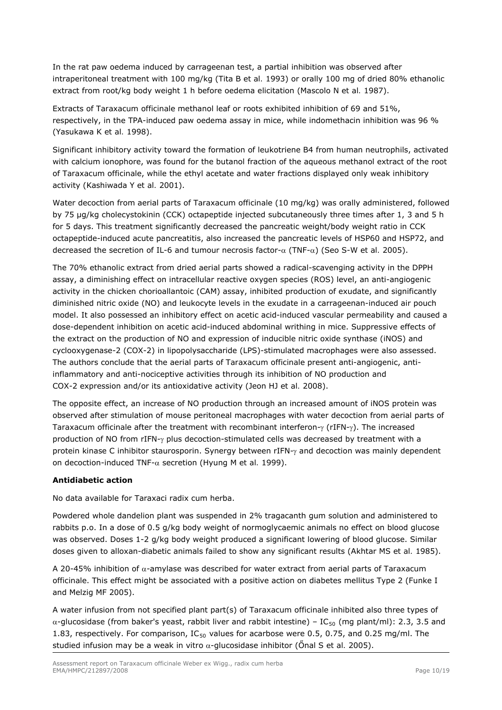In the rat paw oedema induced by carrageenan test, a partial inhibition was observed after intraperitoneal treatment with 100 mg/kg (Tita B *et al.* 1993) or orally 100 mg of dried 80% ethanolic extract from root/kg body weight 1 h before oedema elicitation (Mascolo N *et al.* 1987).

Extracts of *Taraxacum officinale* methanol leaf or roots exhibited inhibition of 69 and 51%, respectively, in the TPA-induced paw oedema assay in mice, while indomethacin inhibition was 96 % (Yasukawa K *et al.* 1998).

Significant inhibitory activity toward the formation of leukotriene B4 from human neutrophils, activated with calcium ionophore, was found for the butanol fraction of the aqueous methanol extract of the root of *Taraxacum officinale*, while the ethyl acetate and water fractions displayed only weak inhibitory activity (Kashiwada Y *et al.* 2001).

Water decoction from aerial parts of *Taraxacum officinale* (10 mg/kg) was orally administered, followed by 75 µg/kg cholecystokinin (CCK) octapeptide injected subcutaneously three times after 1, 3 and 5 h for 5 days. This treatment significantly decreased the pancreatic weight/body weight ratio in CCK octapeptide-induced acute pancreatitis, also increased the pancreatic levels of HSP60 and HSP72, and decreased the secretion of IL-6 and tumour necrosis factor- $\alpha$  (TNF- $\alpha$ ) (Seo S-W *et al.* 2005).

The 70% ethanolic extract from dried aerial parts showed a radical-scavenging activity in the DPPH assay, a diminishing effect on intracellular reactive oxygen species (ROS) level, an anti-angiogenic activity in the chicken chorioallantoic (CAM) assay, inhibited production of exudate, and significantly diminished nitric oxide (NO) and leukocyte levels in the exudate in a carrageenan-induced air pouch model. It also possessed an inhibitory effect on acetic acid-induced vascular permeability and caused a dose-dependent inhibition on acetic acid-induced abdominal writhing in mice. Suppressive effects of the extract on the production of NO and expression of inducible nitric oxide synthase (iNOS) and cyclooxygenase-2 (COX-2) in lipopolysaccharide (LPS)-stimulated macrophages were also assessed. The authors conclude that the aerial parts of *Taraxacum officinale* present anti-angiogenic, antiinflammatory and anti-nociceptive activities through its inhibition of NO production and COX-2 expression and/or its antioxidative activity (Jeon HJ *et al.* 2008).

The opposite effect, an increase of NO production through an increased amount of iNOS protein was observed after stimulation of mouse peritoneal macrophages with water decoction from aerial parts of *Taraxacum officinale* after the treatment with recombinant interferon- $\gamma$  (rIFN- $\gamma$ ). The increased production of NO from rIFN-y plus decoction-stimulated cells was decreased by treatment with a protein kinase C inhibitor staurosporin. Synergy between rIFN- $\gamma$  and decoction was mainly dependent on decoction-induced TNF- $\alpha$  secretion (Hyung M *et al.* 1999).

### **Antidiabetic action**

No data available for Taraxaci radix cum herba.

Powdered whole dandelion plant was suspended in 2% tragacanth gum solution and administered to rabbits p.o. In a dose of 0.5 g/kg body weight of normoglycaemic animals no effect on blood glucose was observed. Doses 1-2 g/kg body weight produced a significant lowering of blood glucose. Similar doses given to alloxan-diabetic animals failed to show any significant results (Akhtar MS *et al.* 1985).

A 20-45% inhibition of  $\alpha$ -amylase was described for water extract from aerial parts of *Taraxacum officinale*. This effect might be associated with a positive action on diabetes mellitus Type 2 (Funke I and Melzig MF 2005).

A water infusion from not specified plant part(s) of *Taraxacum officinale* inhibited also three types of  $\alpha$ -glucosidase (from baker's yeast, rabbit liver and rabbit intestine) – IC<sub>50</sub> (mg plant/ml): 2.3, 3.5 and 1.83, respectively. For comparison,  $IC_{50}$  values for acarbose were 0.5, 0.75, and 0.25 mg/ml. The studied infusion may be a weak *in vitro*  $\alpha$ -glucosidase inhibitor (Önal S *et al.* 2005).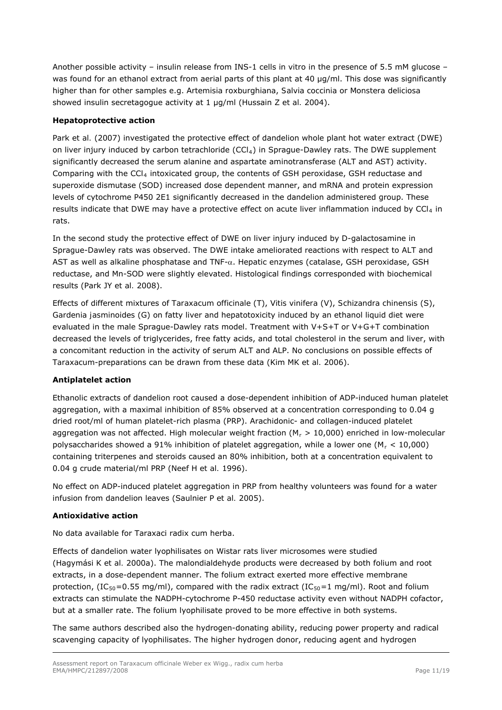Another possible activity – insulin release from INS-1 cells *in vitro* in the presence of 5.5 mM glucose – was found for an ethanol extract from aerial parts of this plant at 40 µg/ml. This dose was significantly higher than for other samples e.g. *Artemisia roxburghiana*, *Salvia coccinia* or *Monstera deliciosa* showed insulin secretagogue activity at 1 µg/ml (Hussain Z *et al.* 2004).

### **Hepatoprotective action**

Park *et al.* (2007) investigated the protective effect of dandelion whole plant hot water extract (DWE) on liver injury induced by carbon tetrachloride (CCl<sub>4</sub>) in Sprague-Dawley rats. The DWE supplement significantly decreased the serum alanine and aspartate aminotransferase (ALT and AST) activity. Comparing with the  $CCl<sub>4</sub>$  intoxicated group, the contents of GSH peroxidase, GSH reductase and superoxide dismutase (SOD) increased dose dependent manner, and mRNA and protein expression levels of cytochrome P450 2E1 significantly decreased in the dandelion administered group. These results indicate that DWE may have a protective effect on acute liver inflammation induced by  $\text{CCI}_4$  in rats.

In the second study the protective effect of DWE on liver injury induced by D-galactosamine in Sprague-Dawley rats was observed. The DWE intake ameliorated reactions with respect to ALT and AST as well as alkaline phosphatase and TNF- $\alpha$ . Hepatic enzymes (catalase, GSH peroxidase, GSH reductase, and Mn-SOD were slightly elevated. Histological findings corresponded with biochemical results (Park JY *et al.* 2008).

Effects of different mixtures of *Taraxacum officinale* (T), *Vitis vinifera* (V), *Schizandra chinensis* (S), *Gardenia jasminoides* (G) on fatty liver and hepatotoxicity induced by an ethanol liquid diet were evaluated in the male Sprague-Dawley rats model. Treatment with V+S+T or V+G+T combination decreased the levels of triglycerides, free fatty acids, and total cholesterol in the serum and liver, with a concomitant reduction in the activity of serum ALT and ALP. No conclusions on possible effects of *Taraxacum*-preparations can be drawn from these data (Kim MK *et al.* 2006).

## **Antiplatelet action**

Ethanolic extracts of dandelion root caused a dose-dependent inhibition of ADP-induced human platelet aggregation, with a maximal inhibition of 85% observed at a concentration corresponding to 0.04 g dried root/ml of human platelet-rich plasma (PRP). Arachidonic- and collagen-induced platelet aggregation was not affected. High molecular weight fraction ( $M<sub>r</sub> > 10,000$ ) enriched in low-molecular polysaccharides showed a 91% inhibition of platelet aggregation, while a lower one ( $M_r < 10,000$ ) containing triterpenes and steroids caused an 80% inhibition, both at a concentration equivalent to 0.04 g crude material/ml PRP (Neef H *et al.* 1996).

No effect on ADP-induced platelet aggregation in PRP from healthy volunteers was found for a water infusion from dandelion leaves (Saulnier P *et al.* 2005).

### **Antioxidative action**

No data available for Taraxaci radix cum herba.

Effects of dandelion water lyophilisates on Wistar rats liver microsomes were studied (Hagymási K *et al.* 2000a). The malondialdehyde products were decreased by both folium and root extracts, in a dose-dependent manner. The folium extract exerted more effective membrane protection, (IC<sub>50</sub>=0.55 mg/ml), compared with the radix extract (IC<sub>50</sub>=1 mg/ml). Root and folium extracts can stimulate the NADPH-cytochrome P-450 reductase activity even without NADPH cofactor, but at a smaller rate. The folium lyophilisate proved to be more effective in both systems.

The same authors described also the hydrogen-donating ability, reducing power property and radical scavenging capacity of lyophilisates. The higher hydrogen donor, reducing agent and hydrogen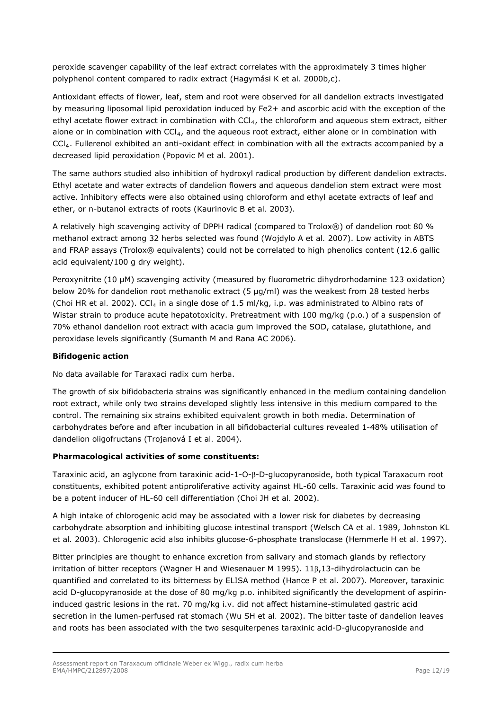peroxide scavenger capability of the leaf extract correlates with the approximately 3 times higher polyphenol content compared to radix extract (Hagymási K *et al.* 2000b,c).

Antioxidant effects of flower, leaf, stem and root were observed for all dandelion extracts investigated by measuring liposomal lipid peroxidation induced by Fe2+ and ascorbic acid with the exception of the ethyl acetate flower extract in combination with  $CCI<sub>4</sub>$ , the chloroform and aqueous stem extract, either alone or in combination with  $\text{CCI}_4$ , and the aqueous root extract, either alone or in combination with CCl4. Fullerenol exhibited an anti-oxidant effect in combination with all the extracts accompanied by a decreased lipid peroxidation (Popovic M *et al.* 2001).

The same authors studied also inhibition of hydroxyl radical production by different dandelion extracts. Ethyl acetate and water extracts of dandelion flowers and aqueous dandelion stem extract were most active. Inhibitory effects were also obtained using chloroform and ethyl acetate extracts of leaf and ether, or n-butanol extracts of roots (Kaurinovic B *et al.* 2003).

A relatively high scavenging activity of DPPH radical (compared to Trolox®) of dandelion root 80 % methanol extract among 32 herbs selected was found (Wojdylo A *et al.* 2007). Low activity in ABTS and FRAP assays (Trolox® equivalents) could not be correlated to high phenolics content (12.6 gallic acid equivalent/100 g dry weight).

Peroxynitrite (10 µM) scavenging activity (measured by fluorometric dihydrorhodamine 123 oxidation) below 20% for dandelion root methanolic extract (5 µg/ml) was the weakest from 28 tested herbs (Choi HR *et al.* 2002). CCl<sub>4</sub> in a single dose of 1.5 ml/kg, i.p. was administrated to Albino rats of Wistar strain to produce acute hepatotoxicity. Pretreatment with 100 mg/kg (p.o.) of a suspension o f 70% ethanol dandelion root extract with acacia gum improved the SOD, catalase, glutathione, and peroxidase levels significantly (Sumanth M and Rana AC 2006).

### **Bifidogenic action**

No data available for Taraxaci radix cum herba.

The growth of six bifidobacteria strains was significantly enhanced in the medium containing dandelion root extract, while only two strains developed slightly less intensive in this medium compared to the control. The remaining six strains exhibited equivalent growth in both media. Determination of carbohydrates before and after incubation in all bifidobacterial cultures revealed 1-48% utilisation of dandelion oligofructans (Trojanová I *et al.* 2004).

#### **Pharmacological activities of some constituents:**

Taraxinic acid, an aglycone from taraxinic acid-1-O- $\beta$ -D-glucopyranoside, both typical *Taraxacum* root constituents, exhibited potent antiproliferative activity against HL-60 cells. Taraxinic acid was found to be a potent inducer of HL-60 cell differentiation (Choi JH *et al.* 2002).

A high intake of chlorogenic acid may be associated with a lower risk for diabetes by decreasing carbohydrate absorption and inhibiting glucose intestinal transport (Welsch CA *et al.* 1989, Johnston KL *et al.* 2003). Chlorogenic acid also inhibits glucose-6-phosphate translocase (Hemmerle H *et al.* 1997).

Bitter principles are thought to enhance excretion from salivary and stomach glands by reflectory irritation of bitter receptors (Wagner H and Wiesenauer M 1995).  $11\beta$ , 13-dihydrolactucin can be quantified and correlated to its bitterness by ELISA method (Hance P *et al.* 2007). Moreover, taraxinic acid D-glucopyranoside at the dose of 80 mg/kg p.o. inhibited significantly the development of aspirininduced gastric lesions in the rat. 70 mg/kg i.v. did not affect histamine-stimulated gastric acid secretion in the lumen-perfused rat stomach (Wu SH *et al.* 2002). The bitter taste of dandelion leaves and roots has been associated with the two sesquiterpenes taraxinic acid-D-glucopyranoside and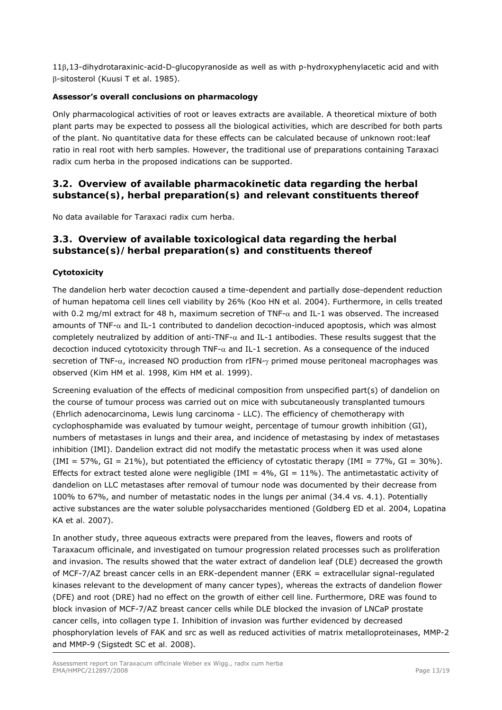$11\beta$ ,13-dihydrotaraxinic-acid-D-glucopyranoside as well as with p-hydroxyphenylacetic acid and with -sitosterol (Kuusi T *et al*. 1985).

### **Assessor's overall conclusions on pharmacology**

Only pharmacological activities of root or leaves extracts are available. A theoretical mixture of both plant parts may be expected to possess all the biological activities, which are described for both parts of the plant. No quantitative data for these effects can be calculated because of unknown root:leaf ratio in real root with herb samples. However, the traditional use of preparations containing Taraxaci radix cum herba in the proposed indications can be supported.

## <span id="page-12-0"></span>*3.2. Overview of available pharmacokinetic data regarding the herbal substance(s), herbal preparation(s) and relevant constituents thereof*

No data available for Taraxaci radix cum herba.

## <span id="page-12-1"></span>*3.3. Overview of available toxicological data regarding the herbal substance(s)/herbal preparation(s) and constituents thereof*

## **Cytotoxicity**

The dandelion herb water decoction caused a time-dependent and partially dose-dependent reduction of human hepatoma cell lines cell viability by 26% (Koo HN *et al.* 2004). Furthermore, in cells treated with 0.2 mg/ml extract for 48 h, maximum secretion of TNF- $\alpha$  and IL-1 was observed. The increased amounts of TNF- $\alpha$  and IL-1 contributed to dandelion decoction-induced apoptosis, which was almost completely neutralized by addition of anti-TNF- $\alpha$  and IL-1 antibodies. These results suggest that the decoction induced cytotoxicity through TNF- $\alpha$  and IL-1 secretion. As a consequence of the induced secretion of TNF- $\alpha$ , increased NO production from rIFN- $\gamma$  primed mouse peritoneal macrophages was observed (Kim HM *et al.* 1998, Kim HM *et al.* 1999).

Screening evaluation of the effects of medicinal composition from unspecified part(s) of dandelion on the course of tumour process was carried out on mice with subcutaneously transplanted tumours (Ehrlich adenocarcinoma, Lewis lung carcinoma - LLC). The efficiency of chemotherapy with cyclophosphamide was evaluated by tumour weight, percentage of tumour growth inhibition (GI), numbers of metastases in lungs and their area, and incidence of metastasing by index of metastases inhibition (IMI). Dandelion extract did not modify the metastatic process when it was used alone (IMI = 57%, GI = 21%), but potentiated the efficiency of cytostatic therapy (IMI = 77%, GI = 30%). Effects for extract tested alone were negligible (IMI =  $4\%$ , GI = 11%). The antimetastatic activity of dandelion on LLC metastases after removal of tumour node was documented by their decrease from 100% to 67%, and number of metastatic nodes in the lungs per animal (34.4 vs. 4.1). Potentially active substances are the water soluble polysaccharides mentioned (Goldberg ED *et al.* 2004, Lopatina KA *et al.* 2007).

In another study, three aqueous extracts were prepared from the leaves, flowers and roots of *Taraxacum officinale*, and investigated on tumour progression related processes such as proliferation and invasion. The results showed that the water extract of dandelion leaf (DLE) decreased the growth of MCF-7/AZ breast cancer cells in an ERK-dependent manner (ERK = extracellular signal-regulated kinases relevant to the development of many cancer types), whereas the extracts of dandelion flower (DFE) and root (DRE) had no effect on the growth of either cell line. Furthermore, DRE was found to block invasion of MCF-7/AZ breast cancer cells while DLE blocked the invasion of LNCaP prostate cancer cells, into collagen type I. Inhibition of invasion was further evidenced by decreased phosphorylation levels of FAK and src as well as reduced activities of matrix metalloproteinases, MMP-2 and MMP-9 (Sigstedt SC *et al.* 2008).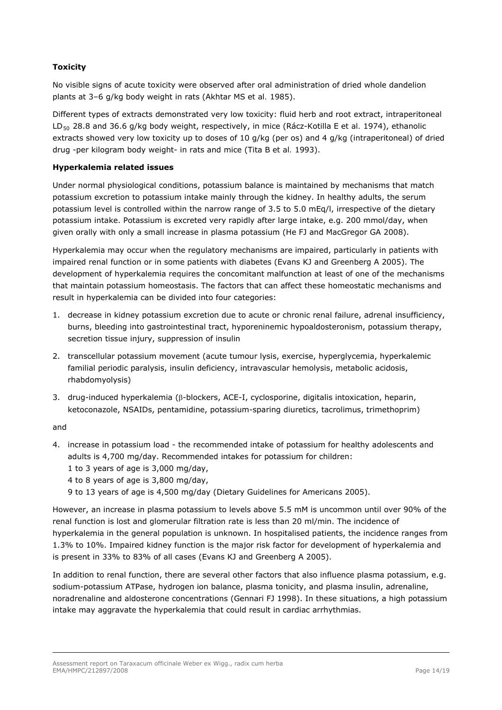## **Toxicity**

No visible signs of acute toxicity were observed after oral administration of dried whole dandelion plants at 3–6 g/kg body weight in rats (Akhtar MS *et al.* 1985).

Different types of extracts demonstrated very low toxicity: fluid herb and root extract, intraperitoneal LD50 28.8 and 36.6 g/kg body weight, respectively, in mice (Rácz-Kotilla E *et al.* 1974), ethanolic extracts showed very low toxicity up to doses of 10 g/kg (per os) and 4 g/kg (intraperitoneal) of dried drug -per kilogram body weight- in rats and mice (Tita B *et al.* 1993).

#### **Hyperkalemia related issues**

Under normal physiological conditions, potassium balance is maintained by mechanisms that match potassium excretion to potassium intake mainly through the kidney. In healthy adults, the serum potassium level is controlled within the narrow range of 3.5 to 5.0 mEq/l, irrespective of the dietary potassium intake. Potassium is excreted very rapidly after large intake, e.g. 200 mmol/day, when given orally with only a small increase in plasma potassium (He FJ and MacGregor GA 2008).

Hyperkalemia may occur when the regulatory mechanisms are impaired, particularly in patients with impaired renal function or in some patients with diabetes (Evans KJ and Greenberg A 2005). The development of hyperkalemia requires the concomitant malfunction at least of one of the mechanisms that maintain potassium homeostasis. The factors that can affect these homeostatic mechanisms and result in hyperkalemia can be divided into four categories:

- 1. decrease in kidney potassium excretion due to acute or chronic renal failure, adrenal insufficiency, burns, bleeding into gastrointestinal tract, hyporeninemic hypoaldosteronism, potassium therapy, secretion tissue injury, suppression of insulin
- 2. transcellular potassium movement (acute tumour lysis, exercise, hyperglycemia, hyperkalemic familial periodic paralysis, insulin deficiency, intravascular hemolysis, metabolic acidosis, rhabdomyolysis)
- 3. drug-induced hyperkalemia ( $\beta$ -blockers, ACE-I, cyclosporine, digitalis intoxication, heparin, ketoconazole, NSAIDs, pentamidine, potassium-sparing diuretics, tacrolimus, trimethoprim)

and

- 4. increase in potassium load the recommended intake of potassium for healthy adolescents and adults is 4,700 mg/day. Recommended intakes for potassium for children: 1 to 3 years of age is 3,000 mg/day,
	- 4 to 8 years of age is 3,800 mg/day,
	- 9 to 13 years of age is 4,500 mg/day (Dietary Guidelines for Americans 2005).

However, an increase in plasma potassium to levels above 5.5 mM is uncommon until over 90% of the renal function is lost and glomerular filtration rate is less than 20 ml/min. The incidence of hyperkalemia in the general population is unknown. In hospitalised patients, the incidence ranges from 1.3% to 10%. Impaired kidney function is the major risk factor for development of hyperkalemia and is present in 33% to 83% of all cases (Evans KJ and Greenberg A 2005).

In addition to renal function, there are several other factors that also influence plasma potassium, e.g. sodium-potassium ATPase, hydrogen ion balance, plasma tonicity, and plasma insulin, adrenaline, noradrenaline and aldosterone concentrations (Gennari FJ 1998). In these situations, a high potassium intake may aggravate the hyperkalemia that could result in cardiac arrhythmias.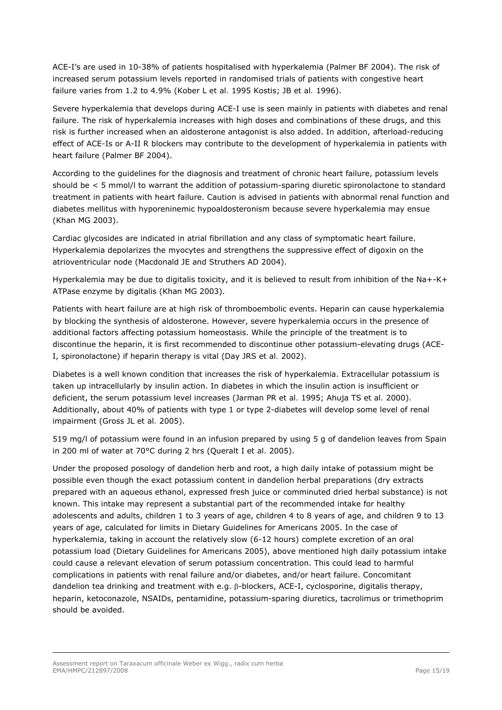ACE-I's are used in 10-38% of patients hospitalised with hyperkalemia (Palmer BF 2004). The risk of increased serum potassium levels reported in randomised trials of patients with congestive heart failure varies from 1.2 to 4.9% (Kober L *et al.* 1995 Kostis; JB *et al.* 1996).

Severe hyperkalemia that develops during ACE-I use is seen mainly in patients with diabetes and renal failure. The risk of hyperkalemia increases with high doses and combinations of these drugs, and this risk is further increased when an aldosterone antagonist is also added. In addition, afterload-reducing effect of ACE-Is or A-II R blockers may contribute to the development of hyperkalemia in patients with heart failure (Palmer BF 2004).

According to the guidelines for the diagnosis and treatment of chronic heart failure, potassium levels should be < 5 mmol/l to warrant the addition of potassium-sparing diuretic spironolactone to standard treatment in patients with heart failure. Caution is advised in patients with abnormal renal function and diabetes mellitus with hyporeninemic hypoaldosteronism because severe hyperkalemia may ensue (Khan MG 2003).

Cardiac glycosides are indicated in atrial fibrillation and any class of symptomatic heart failure. Hyperkalemia depolarizes the myocytes and strengthens the suppressive effect of digoxin on the atrioventricular node (Macdonald JE and Struthers AD 2004).

Hyperkalemia may be due to digitalis toxicity, and it is believed to result from inhibition of the Na+-K+ ATPase enzyme by digitalis (Khan MG 2003).

Patients with heart failure are at high risk of thromboembolic events. Heparin can cause hyperkalemia by blocking the synthesis of aldosterone. However, severe hyperkalemia occurs in the presence of additional factors affecting potassium homeostasis. While the principle of the treatment is to discontinue the heparin, it is first recommended to discontinue other potassium-elevating drugs (ACE-I, spironolactone) if heparin therapy is vital (Day JRS *et al.* 2002).

Diabetes is a well known condition that increases the risk of hyperkalemia. Extracellular potassium is taken up intracellularly by insulin action. In diabetes in which the insulin action is insufficient or deficient, the serum potassium level increases (Jarman PR *et al.* 1995; Ahuja TS *et al.* 2000). Additionally, about 40% of patients with type 1 or type 2-diabetes will develop some level of renal impairment (Gross JL *et al.* 2005).

519 mg/l of potassium were found in an infusion prepared by using 5 g of dandelion leaves from Spain in 200 ml of water at 70°C during 2 hrs (Queralt I *et al.* 2005).

Under the proposed posology of dandelion herb and root, a high daily intake of potassium might be possible even though the exact potassium content in dandelion herbal preparations (dry extracts prepared with an aqueous ethanol, expressed fresh juice or comminuted dried herbal substance) is not known. This intake may represent a substantial part of the recommended intake for healthy adolescents and adults, children 1 to 3 years of age, children 4 to 8 years of age, and children 9 to 13 years of age, calculated for limits in Dietary Guidelines for Americans 2005. In the case of hyperkalemia, taking in account the relatively slow (6-12 hours) complete excretion of an oral potassium load (Dietary Guidelines for Americans 2005), above mentioned high daily potassium intake could cause a relevant elevation of serum potassium concentration. This could lead to harmful complications in patients with renal failure and/or diabetes, and/or heart failure. Concomitant dandelion tea drinking and treatment with e.g. B-blockers, ACE-I, cyclosporine, digitalis therapy, heparin, ketoconazole, NSAIDs, pentamidine, potassium-sparing diuretics, tacrolimus or trimethoprim should be avoided.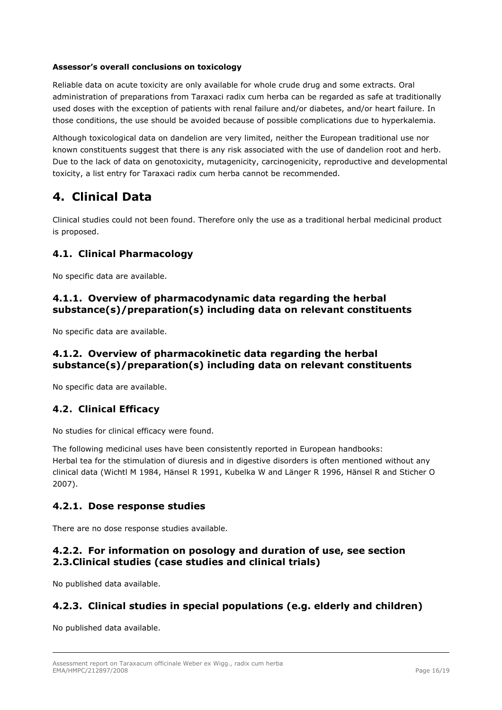#### **Assessor's overall conclusions on toxicology**

Reliable data on acute toxicity are only available for whole crude drug and some extracts. Oral administration of preparations from Taraxaci radix cum herba can be regarded as safe at traditionally used doses with the exception of patients with renal failure and/or diabetes, and/or heart failure. In those conditions, the use should be avoided because of possible complications due to hyperkalemia.

Although toxicological data on dandelion are very limited, neither the European traditional use nor known constituents suggest that there is any risk associated with the use of dandelion root and herb. Due to the lack of data on genotoxicity, mutagenicity, carcinogenicity, reproductive and developmental toxicity, a list entry for Taraxaci radix cum herba cannot be recommended.

## <span id="page-15-0"></span>**4. Clinical Data**

Clinical studies could not been found. Therefore only the use as a traditional herbal medicinal product is proposed.

## <span id="page-15-1"></span>*4.1. Clinical Pharmacology*

No specific data are available.

## <span id="page-15-2"></span>**4.1.1. Overview of pharmacodynamic data regarding the herbal substance(s)/preparation(s) including data on relevant constituents**

No specific data are available.

## <span id="page-15-3"></span>**4.1.2. Overview of pharmacokinetic data regarding the herbal substance(s)/preparation(s) including data on relevant constituents**

No specific data are available.

## <span id="page-15-4"></span>*4.2. Clinical Efficacy*

No studies for clinical efficacy were found.

The following medicinal uses have been consistently reported in European handbooks: Herbal tea for the stimulation of diuresis and in digestive disorders is often mentioned without any clinical data (Wichtl M 1984, Hänsel R 1991, Kubelka W and Länger R 1996, Hänsel R and Sticher O 2007).

## <span id="page-15-5"></span>**4.2.1. Dose response studies**

There are no dose response studies available.

## <span id="page-15-6"></span>**4.2.2. For information on posology and duration of use, see section 2.3.Clinical studies (case studies and clinical trials)**

No published data available.

## <span id="page-15-7"></span>**4.2.3. Clinical studies in special populations (e.g. elderly and children)**

No published data available.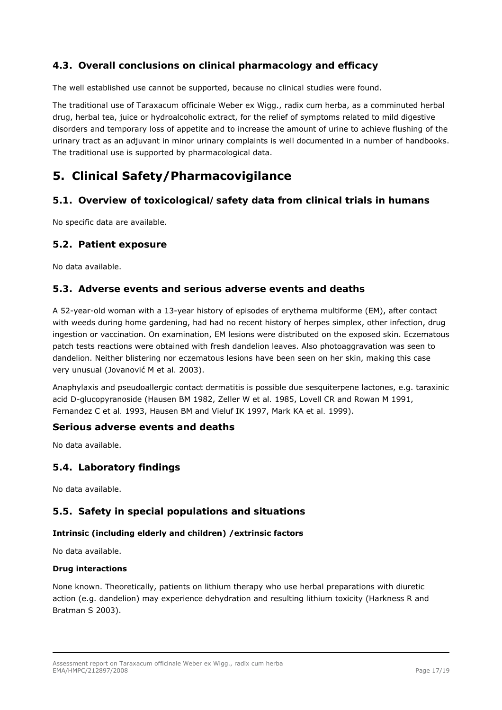## <span id="page-16-0"></span>*4.3. Overall conclusions on clinical pharmacology and efficacy*

The well established use cannot be supported, because no clinical studies were found.

The traditional use of *Taraxacum officinale* Weber ex Wigg., radix cum herba, as a comminuted herbal drug, herbal tea, juice or hydroalcoholic extract, for the relief of symptoms related to mild digestive disorders and temporary loss of appetite and to increase the amount of urine to achieve flushing of the urinary tract as an adjuvant in minor urinary complaints is well documented in a number of handbooks. The traditional use is supported by pharmacological data.

## <span id="page-16-1"></span>**5. Clinical Safety/Pharmacovigilance**

## <span id="page-16-2"></span>*5.1. Overview of toxicological/safety data from clinical trials in humans*

No specific data are available.

## <span id="page-16-3"></span>*5.2. Patient exposure*

No data available.

## <span id="page-16-4"></span>*5.3. Adverse events and serious adverse events and deaths*

A 52-year-old woman with a 13-year history of episodes of erythema multiforme (EM), after contact with weeds during home gardening, had had no recent history of herpes simplex, other infection, drug ingestion or vaccination. On examination, EM lesions were distributed on the exposed skin. Eczematous patch tests reactions were obtained with fresh dandelion leaves. Also photoaggravation was seen to dandelion. Neither blistering nor eczematous lesions have been seen on her skin, making this case very unusual (Jovanović M *et al.* 2003).

Anaphylaxis and pseudoallergic contact dermatitis is possible due sesquiterpene lactones, e.g. taraxinic acid D-glucopyranoside (Hausen BM 1982, Zeller W *et al.* 1985, Lovell CR and Rowan M 1991, Fernandez C *et al.* 1993, Hausen BM and Vieluf IK 1997, Mark KA *et al.* 1999).

## **Serious adverse events and deaths**

No data available.

## <span id="page-16-5"></span>*5.4. Laboratory findings*

No data available.

## <span id="page-16-6"></span>*5.5. Safety in special populations and situations*

### **Intrinsic (including elderly and children) /extrinsic factors**

No data available.

#### **Drug interactions**

None known. Theoretically, patients on lithium therapy who use herbal preparations with diuretic action (e.g. dandelion) may experience dehydration and resulting lithium toxicity (Harkness R and Bratman S 2003).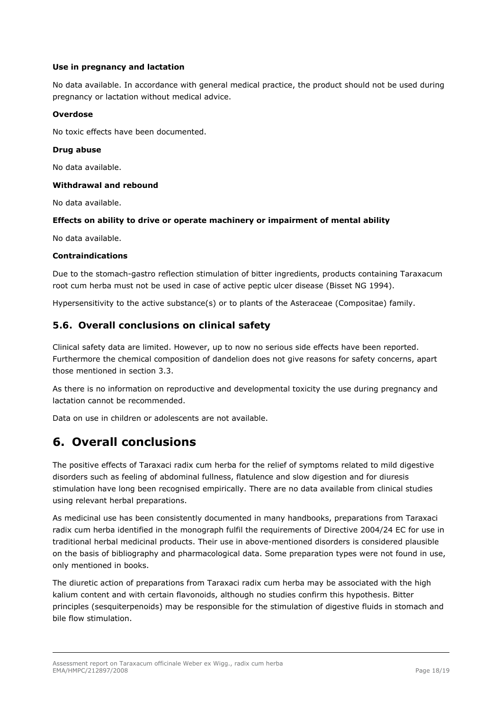#### **Use in pregnancy and lactation**

No data available. In accordance with general medical practice, the product should not be used during pregnancy or lactation without medical advice.

#### **Overdose**

No toxic effects have been documented.

#### **Drug abuse**

No data available.

#### **Withdrawal and rebound**

No data available.

### **Effects on ability to drive or operate machinery or impairment of mental ability**

No data available.

## **Contraindications**

Due to the stomach-gastro reflection stimulation of bitter ingredients, products containing *Taraxacum* root cum herba must not be used in case of active peptic ulcer disease (Bisset NG 1994).

Hypersensitivity to the active substance(s) or to plants of the Asteraceae (Compositae) family.

## <span id="page-17-0"></span>*5.6. Overall conclusions on clinical safety*

Clinical safety data are limited. However, up to now no serious side effects have been reported. Furthermore the chemical composition of dandelion does not give reasons for safety concerns, apart those mentioned in section 3.3.

As there is no information on reproductive and developmental toxicity the use during pregnancy and lactation cannot be recommended.

Data on use in children or adolescents are not available.

## <span id="page-17-1"></span>**6. Overall conclusions**

The positive effects of Taraxaci radix cum herba for the relief of symptoms related to mild digestive disorders such as feeling of abdominal fullness, flatulence and slow digestion and for diuresis stimulation have long been recognised empirically. There are no data available from clinical studies using relevant herbal preparations.

As medicinal use has been consistently documented in many handbooks, preparations from Taraxaci radix cum herba identified in the monograph fulfil the requirements of Directive 2004/24 EC for use in traditional herbal medicinal products. Their use in above-mentioned disorders is considered plausible on the basis of bibliography and pharmacological data. Some preparation types were not found in use, only mentioned in books.

The diuretic action of preparations from Taraxaci radix cum herba may be associated with the high kalium content and with certain flavonoids, although no studies confirm this hypothesis. Bitter principles (sesquiterpenoids) may be responsible for the stimulation of digestive fluids in stomach and bile flow stimulation.